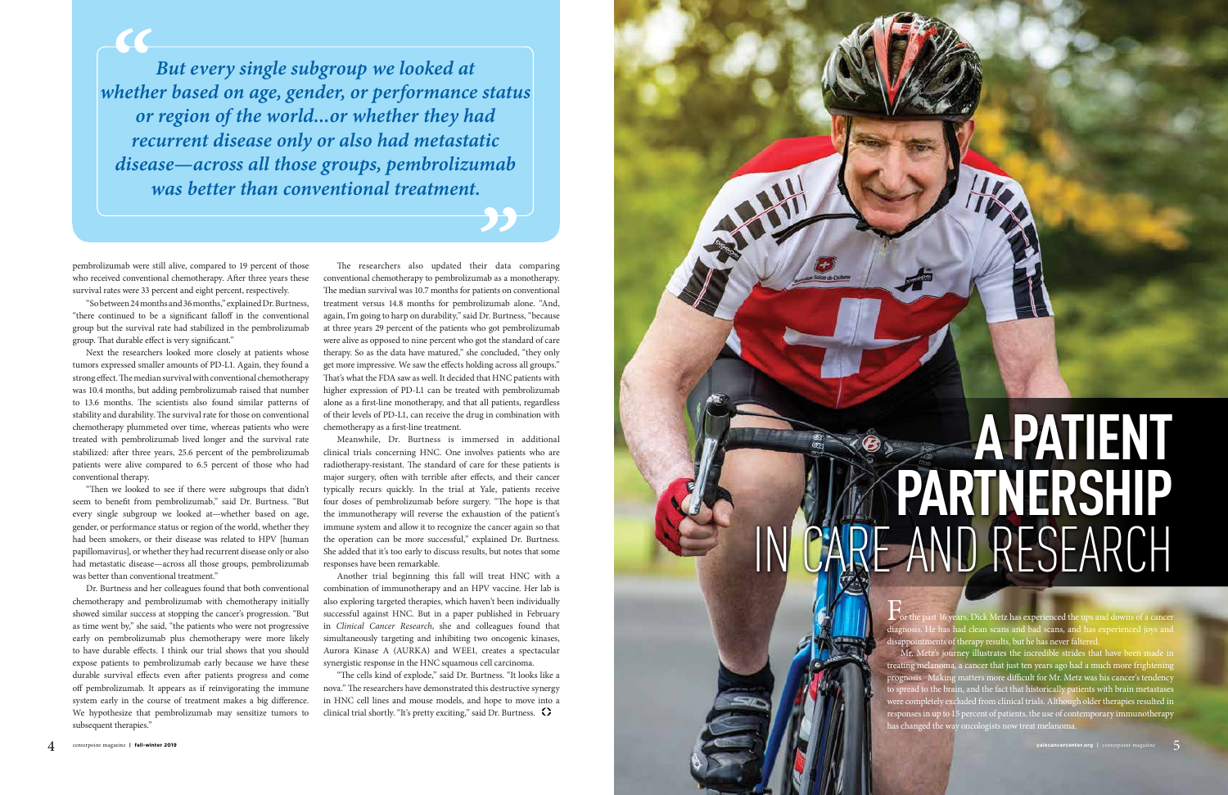## **A PATIENT PARTNERSHIP**  IN CARE AND RESEARCH

 $\Gamma$  or the past 16 years, Dick Metz has experienced the ups and downs of a cancer diagnosis. He has had clean scans and bad scans, and has experienced joys and disappointments of therapy results, but he has never faltered.

Mr. Metz's journey illustrates the incredible strides that have been made in treating melanoma, a cancer that just ten years ago had a much more frightening prognosis. Making matters more difficult for Mr. Metz was his cancer's tendency to spread to the brain, and the fact that historically patients with brain metastases were completely excluded from clinical trials. Although older therapies resulted in responses in up to 15 percent of patients, the use of contemporary immunotherapy has changed the way oncologists now treat melanoma.